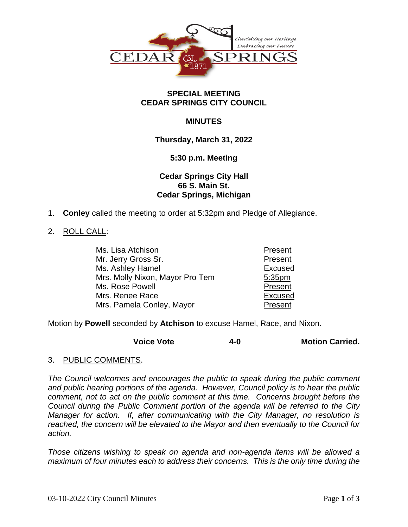

## **SPECIAL MEETING CEDAR SPRINGS CITY COUNCIL**

# **MINUTES**

# **Thursday, March 31, 2022**

## **5:30 p.m. Meeting**

# **Cedar Springs City Hall 66 S. Main St. Cedar Springs, Michigan**

1. **Conley** called the meeting to order at 5:32pm and Pledge of Allegiance.

## 2. ROLL CALL:

| Ms. Lisa Atchison               | Present            |
|---------------------------------|--------------------|
| Mr. Jerry Gross Sr.             | Present            |
| Ms. Ashley Hamel                | <b>Excused</b>     |
| Mrs. Molly Nixon, Mayor Pro Tem | 5:35 <sub>pm</sub> |
| Ms. Rose Powell                 | Present            |
| Mrs. Renee Race                 | <b>Excused</b>     |
| Mrs. Pamela Conley, Mayor       | Present            |

Motion by **Powell** seconded by **Atchison** to excuse Hamel, Race, and Nixon.

**Voice Vote 4-0 Motion Carried.**

#### 3. PUBLIC COMMENTS.

*The Council welcomes and encourages the public to speak during the public comment and public hearing portions of the agenda. However, Council policy is to hear the public comment, not to act on the public comment at this time. Concerns brought before the Council during the Public Comment portion of the agenda will be referred to the City Manager for action. If, after communicating with the City Manager, no resolution is reached, the concern will be elevated to the Mayor and then eventually to the Council for action.*

*Those citizens wishing to speak on agenda and non-agenda items will be allowed a maximum of four minutes each to address their concerns. This is the only time during the*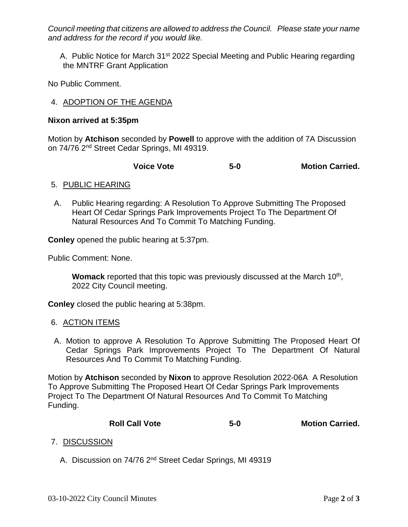*Council meeting that citizens are allowed to address the Council. Please state your name and address for the record if you would like.*

A. Public Notice for March 31<sup>st</sup> 2022 Special Meeting and Public Hearing regarding the MNTRF Grant Application

No Public Comment.

### 4. ADOPTION OF THE AGENDA

#### **Nixon arrived at 5:35pm**

Motion by **Atchison** seconded by **Powell** to approve with the addition of 7A Discussion on 74/76 2nd Street Cedar Springs, MI 49319.

| <b>Voice Vote</b> | 5-0 | <b>Motion Carried.</b> |
|-------------------|-----|------------------------|
|-------------------|-----|------------------------|

### 5. PUBLIC HEARING

A. Public Hearing regarding: A Resolution To Approve Submitting The Proposed Heart Of Cedar Springs Park Improvements Project To The Department Of Natural Resources And To Commit To Matching Funding.

**Conley** opened the public hearing at 5:37pm.

Public Comment: None.

**Womack** reported that this topic was previously discussed at the March 10<sup>th</sup>, 2022 City Council meeting.

**Conley** closed the public hearing at 5:38pm.

#### 6. ACTION ITEMS

A. Motion to approve A Resolution To Approve Submitting The Proposed Heart Of Cedar Springs Park Improvements Project To The Department Of Natural Resources And To Commit To Matching Funding.

Motion by **Atchison** seconded by **Nixon** to approve Resolution 2022-06A A Resolution To Approve Submitting The Proposed Heart Of Cedar Springs Park Improvements Project To The Department Of Natural Resources And To Commit To Matching Funding.

**Roll Call Vote 5-0 Motion Carried.**

#### 7. DISCUSSION

A. Discussion on 74/76 2<sup>nd</sup> Street Cedar Springs, MI 49319